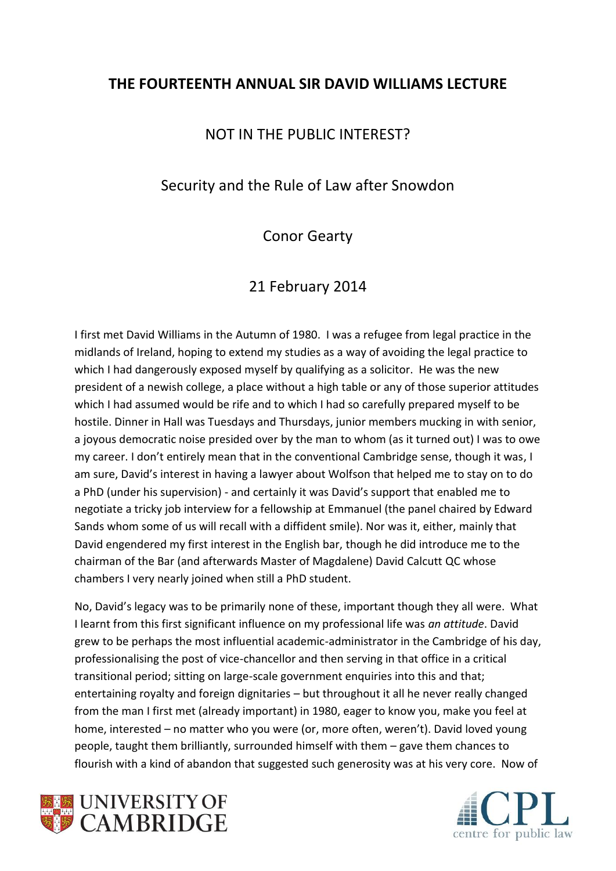## **THE FOURTEENTH ANNUAL SIR DAVID WILLIAMS LECTURE**

### NOT IN THE PUBLIC INTEREST?

### Security and the Rule of Law after Snowdon

## Conor Gearty

# 21 February 2014

I first met David Williams in the Autumn of 1980. I was a refugee from legal practice in the midlands of Ireland, hoping to extend my studies as a way of avoiding the legal practice to which I had dangerously exposed myself by qualifying as a solicitor. He was the new president of a newish college, a place without a high table or any of those superior attitudes which I had assumed would be rife and to which I had so carefully prepared myself to be hostile. Dinner in Hall was Tuesdays and Thursdays, junior members mucking in with senior, a joyous democratic noise presided over by the man to whom (as it turned out) I was to owe my career. I don't entirely mean that in the conventional Cambridge sense, though it was, I am sure, David's interest in having a lawyer about Wolfson that helped me to stay on to do a PhD (under his supervision) - and certainly it was David's support that enabled me to negotiate a tricky job interview for a fellowship at Emmanuel (the panel chaired by Edward Sands whom some of us will recall with a diffident smile). Nor was it, either, mainly that David engendered my first interest in the English bar, though he did introduce me to the chairman of the Bar (and afterwards Master of Magdalene) David Calcutt QC whose chambers I very nearly joined when still a PhD student.

No, David's legacy was to be primarily none of these, important though they all were. What I learnt from this first significant influence on my professional life was *an attitude*. David grew to be perhaps the most influential academic-administrator in the Cambridge of his day, professionalising the post of vice-chancellor and then serving in that office in a critical transitional period; sitting on large-scale government enquiries into this and that; entertaining royalty and foreign dignitaries – but throughout it all he never really changed from the man I first met (already important) in 1980, eager to know you, make you feel at home, interested – no matter who you were (or, more often, weren't). David loved young people, taught them brilliantly, surrounded himself with them – gave them chances to flourish with a kind of abandon that suggested such generosity was at his very core. Now of



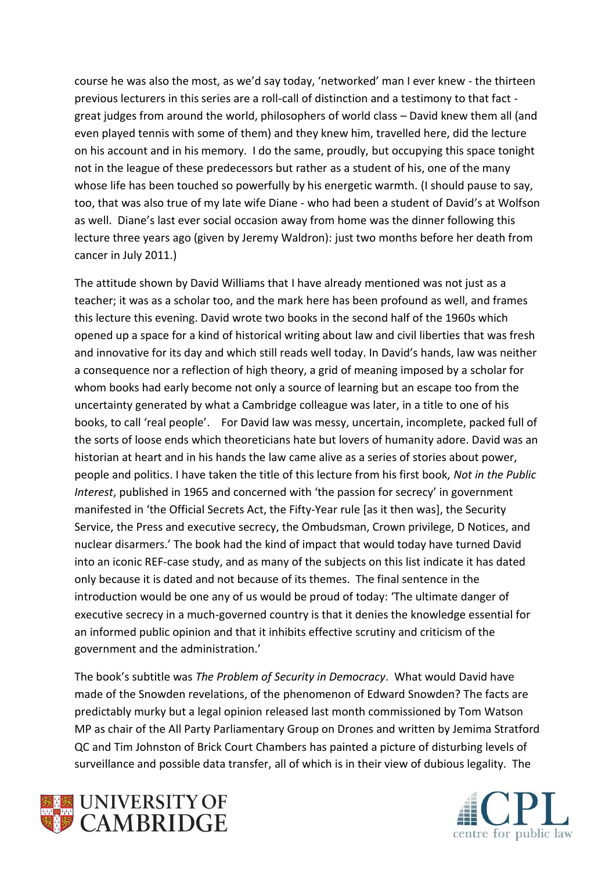course he was also the most, as we'd say today, 'networked' man I ever knew - the thirteen previous lecturers in this series are a roll-call of distinction and a testimony to that fact great judges from around the world, philosophers of world class – David knew them all (and even played tennis with some of them) and they knew him, travelled here, did the lecture on his account and in his memory. I do the same, proudly, but occupying this space tonight not in the league of these predecessors but rather as a student of his, one of the many whose life has been touched so powerfully by his energetic warmth. (I should pause to say, too, that was also true of my late wife Diane - who had been a student of David's at Wolfson as well. Diane's last ever social occasion away from home was the dinner following this lecture three years ago (given by Jeremy Waldron): just two months before her death from cancer in July 2011.)

The attitude shown by David Williams that I have already mentioned was not just as a teacher; it was as a scholar too, and the mark here has been profound as well, and frames this lecture this evening. David wrote two books in the second half of the 1960s which opened up a space for a kind of historical writing about law and civil liberties that was fresh and innovative for its day and which still reads well today. In David's hands, law was neither a consequence nor a reflection of high theory, a grid of meaning imposed by a scholar for whom books had early become not only a source of learning but an escape too from the uncertainty generated by what a Cambridge colleague was later, in a title to one of his books, to call 'real people'. For David law was messy, uncertain, incomplete, packed full of the sorts of loose ends which theoreticians hate but lovers of humanity adore. David was an historian at heart and in his hands the law came alive as a series of stories about power, people and politics. I have taken the title of this lecture from his first book, *Not in the Public Interest*, published in 1965 and concerned with 'the passion for secrecy' in government manifested in 'the Official Secrets Act, the Fifty-Year rule [as it then was], the Security Service, the Press and executive secrecy, the Ombudsman, Crown privilege, D Notices, and nuclear disarmers.' The book had the kind of impact that would today have turned David into an iconic REF-case study, and as many of the subjects on this list indicate it has dated only because it is dated and not because of its themes. The final sentence in the introduction would be one any of us would be proud of today: 'The ultimate danger of executive secrecy in a much-governed country is that it denies the knowledge essential for an informed public opinion and that it inhibits effective scrutiny and criticism of the government and the administration.'

The book's subtitle was *The Problem of Security in Democracy*. What would David have made of the Snowden revelations, of the phenomenon of Edward Snowden? The facts are predictably murky but a legal opinion released last month commissioned by Tom Watson MP as chair of the All Party Parliamentary Group on Drones and written by Jemima Stratford QC and Tim Johnston of Brick Court Chambers has painted a picture of disturbing levels of surveillance and possible data transfer, all of which is in their view of dubious legality. The



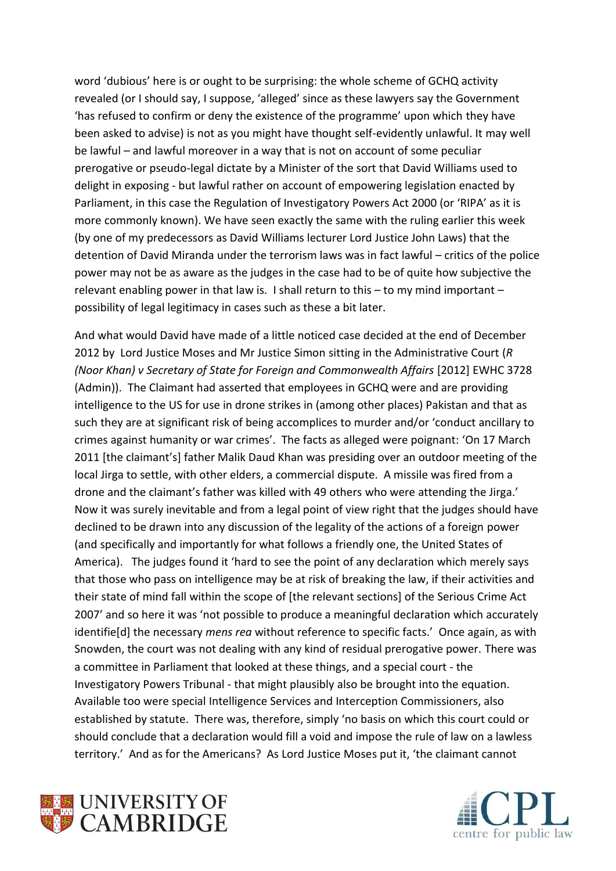word 'dubious' here is or ought to be surprising: the whole scheme of GCHQ activity revealed (or I should say, I suppose, 'alleged' since as these lawyers say the Government 'has refused to confirm or deny the existence of the programme' upon which they have been asked to advise) is not as you might have thought self-evidently unlawful. It may well be lawful – and lawful moreover in a way that is not on account of some peculiar prerogative or pseudo-legal dictate by a Minister of the sort that David Williams used to delight in exposing - but lawful rather on account of empowering legislation enacted by Parliament, in this case the Regulation of Investigatory Powers Act 2000 (or 'RIPA' as it is more commonly known). We have seen exactly the same with the ruling earlier this week (by one of my predecessors as David Williams lecturer Lord Justice John Laws) that the detention of David Miranda under the terrorism laws was in fact lawful – critics of the police power may not be as aware as the judges in the case had to be of quite how subjective the relevant enabling power in that law is. I shall return to this – to my mind important – possibility of legal legitimacy in cases such as these a bit later.

And what would David have made of a little noticed case decided at the end of December 2012 by Lord Justice Moses and Mr Justice Simon sitting in the Administrative Court (*R (Noor Khan) v Secretary of State for Foreign and Commonwealth Affairs* [2012] EWHC 3728 (Admin)). The Claimant had asserted that employees in GCHQ were and are providing intelligence to the US for use in drone strikes in (among other places) Pakistan and that as such they are at significant risk of being accomplices to murder and/or 'conduct ancillary to crimes against humanity or war crimes'. The facts as alleged were poignant: 'On 17 March 2011 [the claimant's] father Malik Daud Khan was presiding over an outdoor meeting of the local Jirga to settle, with other elders, a commercial dispute. A missile was fired from a drone and the claimant's father was killed with 49 others who were attending the Jirga.' Now it was surely inevitable and from a legal point of view right that the judges should have declined to be drawn into any discussion of the legality of the actions of a foreign power (and specifically and importantly for what follows a friendly one, the United States of America). The judges found it 'hard to see the point of any declaration which merely says that those who pass on intelligence may be at risk of breaking the law, if their activities and their state of mind fall within the scope of [the relevant sections] of the Serious Crime Act 2007' and so here it was 'not possible to produce a meaningful declaration which accurately identifie[d] the necessary *mens rea* without reference to specific facts.' Once again, as with Snowden, the court was not dealing with any kind of residual prerogative power. There was a committee in Parliament that looked at these things, and a special court - the Investigatory Powers Tribunal - that might plausibly also be brought into the equation. Available too were special Intelligence Services and Interception Commissioners, also established by statute. There was, therefore, simply 'no basis on which this court could or should conclude that a declaration would fill a void and impose the rule of law on a lawless territory.' And as for the Americans? As Lord Justice Moses put it, 'the claimant cannot



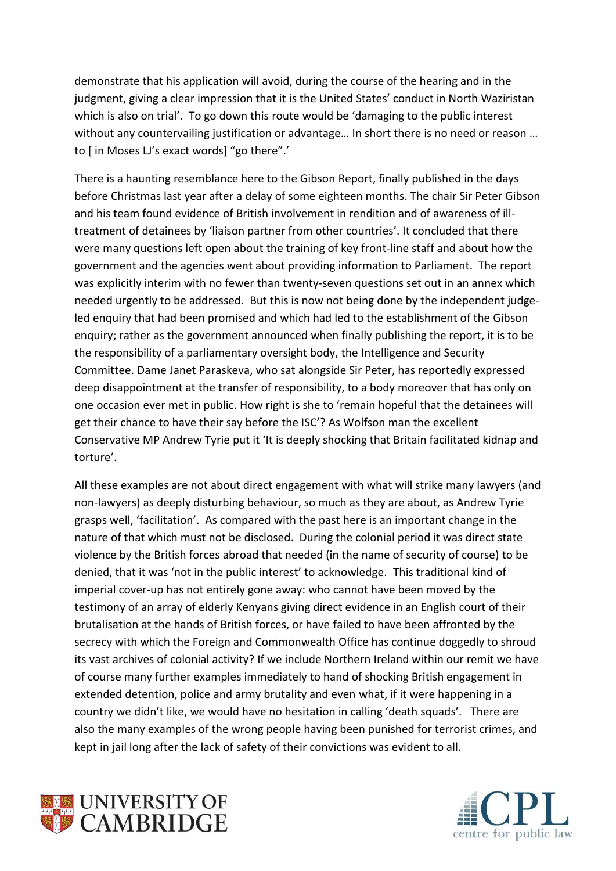demonstrate that his application will avoid, during the course of the hearing and in the judgment, giving a clear impression that it is the United States' conduct in North Waziristan which is also on trial'. To go down this route would be 'damaging to the public interest without any countervailing justification or advantage... In short there is no need or reason ... to [ in Moses LJ's exact words] "go there".'

There is a haunting resemblance here to the Gibson Report, finally published in the days before Christmas last year after a delay of some eighteen months. The chair Sir Peter Gibson and his team found evidence of British involvement in rendition and of awareness of illtreatment of detainees by 'liaison partner from other countries'. It concluded that there were many questions left open about the training of key front-line staff and about how the government and the agencies went about providing information to Parliament. The report was explicitly interim with no fewer than twenty-seven questions set out in an annex which needed urgently to be addressed. But this is now not being done by the independent judgeled enquiry that had been promised and which had led to the establishment of the Gibson enquiry; rather as the government announced when finally publishing the report, it is to be the responsibility of a parliamentary oversight body, the Intelligence and Security Committee. Dame Janet Paraskeva, who sat alongside Sir Peter, has reportedly expressed deep disappointment at the transfer of responsibility, to a body moreover that has only on one occasion ever met in public. How right is she to 'remain hopeful that the detainees will get their chance to have their say before the ISC'? As Wolfson man the excellent Conservative MP Andrew Tyrie put it 'It is deeply shocking that Britain facilitated kidnap and torture'.

All these examples are not about direct engagement with what will strike many lawyers (and non-lawyers) as deeply disturbing behaviour, so much as they are about, as Andrew Tyrie grasps well, 'facilitation'. As compared with the past here is an important change in the nature of that which must not be disclosed. During the colonial period it was direct state violence by the British forces abroad that needed (in the name of security of course) to be denied, that it was 'not in the public interest' to acknowledge. This traditional kind of imperial cover-up has not entirely gone away: who cannot have been moved by the testimony of an array of elderly Kenyans giving direct evidence in an English court of their brutalisation at the hands of British forces, or have failed to have been affronted by the secrecy with which the Foreign and Commonwealth Office has continue doggedly to shroud its vast archives of colonial activity? If we include Northern Ireland within our remit we have of course many further examples immediately to hand of shocking British engagement in extended detention, police and army brutality and even what, if it were happening in a country we didn't like, we would have no hesitation in calling 'death squads'. There are also the many examples of the wrong people having been punished for terrorist crimes, and kept in jail long after the lack of safety of their convictions was evident to all.



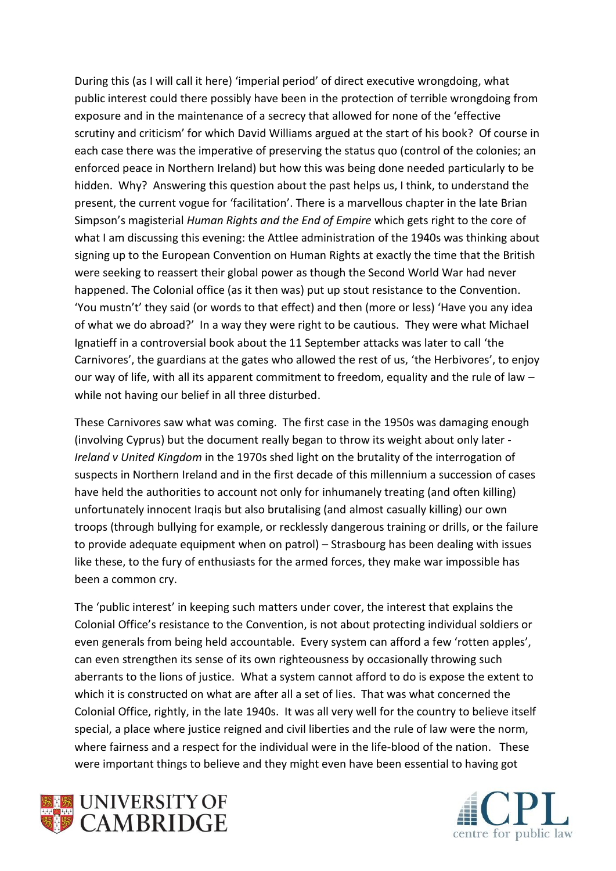During this (as I will call it here) 'imperial period' of direct executive wrongdoing, what public interest could there possibly have been in the protection of terrible wrongdoing from exposure and in the maintenance of a secrecy that allowed for none of the 'effective scrutiny and criticism' for which David Williams argued at the start of his book? Of course in each case there was the imperative of preserving the status quo (control of the colonies; an enforced peace in Northern Ireland) but how this was being done needed particularly to be hidden. Why? Answering this question about the past helps us, I think, to understand the present, the current vogue for 'facilitation'. There is a marvellous chapter in the late Brian Simpson's magisterial *Human Rights and the End of Empire* which gets right to the core of what I am discussing this evening: the Attlee administration of the 1940s was thinking about signing up to the European Convention on Human Rights at exactly the time that the British were seeking to reassert their global power as though the Second World War had never happened. The Colonial office (as it then was) put up stout resistance to the Convention. 'You mustn't' they said (or words to that effect) and then (more or less) 'Have you any idea of what we do abroad?' In a way they were right to be cautious. They were what Michael Ignatieff in a controversial book about the 11 September attacks was later to call 'the Carnivores', the guardians at the gates who allowed the rest of us, 'the Herbivores', to enjoy our way of life, with all its apparent commitment to freedom, equality and the rule of law – while not having our belief in all three disturbed.

These Carnivores saw what was coming. The first case in the 1950s was damaging enough (involving Cyprus) but the document really began to throw its weight about only later - *Ireland v United Kingdom* in the 1970s shed light on the brutality of the interrogation of suspects in Northern Ireland and in the first decade of this millennium a succession of cases have held the authorities to account not only for inhumanely treating (and often killing) unfortunately innocent Iraqis but also brutalising (and almost casually killing) our own troops (through bullying for example, or recklessly dangerous training or drills, or the failure to provide adequate equipment when on patrol) – Strasbourg has been dealing with issues like these, to the fury of enthusiasts for the armed forces, they make war impossible has been a common cry.

The 'public interest' in keeping such matters under cover, the interest that explains the Colonial Office's resistance to the Convention, is not about protecting individual soldiers or even generals from being held accountable. Every system can afford a few 'rotten apples', can even strengthen its sense of its own righteousness by occasionally throwing such aberrants to the lions of justice. What a system cannot afford to do is expose the extent to which it is constructed on what are after all a set of lies. That was what concerned the Colonial Office, rightly, in the late 1940s. It was all very well for the country to believe itself special, a place where justice reigned and civil liberties and the rule of law were the norm, where fairness and a respect for the individual were in the life-blood of the nation. These were important things to believe and they might even have been essential to having got



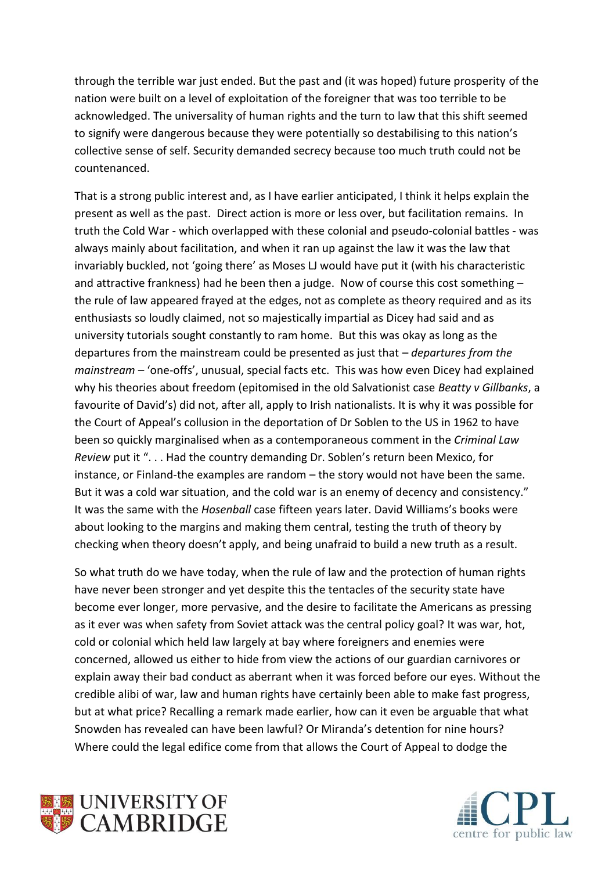through the terrible war just ended. But the past and (it was hoped) future prosperity of the nation were built on a level of exploitation of the foreigner that was too terrible to be acknowledged. The universality of human rights and the turn to law that this shift seemed to signify were dangerous because they were potentially so destabilising to this nation's collective sense of self. Security demanded secrecy because too much truth could not be countenanced.

That is a strong public interest and, as I have earlier anticipated, I think it helps explain the present as well as the past. Direct action is more or less over, but facilitation remains. In truth the Cold War - which overlapped with these colonial and pseudo-colonial battles - was always mainly about facilitation, and when it ran up against the law it was the law that invariably buckled, not 'going there' as Moses LJ would have put it (with his characteristic and attractive frankness) had he been then a judge. Now of course this cost something – the rule of law appeared frayed at the edges, not as complete as theory required and as its enthusiasts so loudly claimed, not so majestically impartial as Dicey had said and as university tutorials sought constantly to ram home. But this was okay as long as the departures from the mainstream could be presented as just that – *departures from the mainstream* – 'one-offs', unusual, special facts etc. This was how even Dicey had explained why his theories about freedom (epitomised in the old Salvationist case *Beatty v Gillbanks*, a favourite of David's) did not, after all, apply to Irish nationalists. It is why it was possible for the Court of Appeal's collusion in the deportation of Dr Soblen to the US in 1962 to have been so quickly marginalised when as a contemporaneous comment in the *Criminal Law Review* put it ". . . Had the country demanding Dr. Soblen's return been Mexico, for instance, or Finland-the examples are random – the story would not have been the same. But it was a cold war situation, and the cold war is an enemy of decency and consistency." It was the same with the *Hosenball* case fifteen years later. David Williams's books were about looking to the margins and making them central, testing the truth of theory by checking when theory doesn't apply, and being unafraid to build a new truth as a result.

So what truth do we have today, when the rule of law and the protection of human rights have never been stronger and yet despite this the tentacles of the security state have become ever longer, more pervasive, and the desire to facilitate the Americans as pressing as it ever was when safety from Soviet attack was the central policy goal? It was war, hot, cold or colonial which held law largely at bay where foreigners and enemies were concerned, allowed us either to hide from view the actions of our guardian carnivores or explain away their bad conduct as aberrant when it was forced before our eyes. Without the credible alibi of war, law and human rights have certainly been able to make fast progress, but at what price? Recalling a remark made earlier, how can it even be arguable that what Snowden has revealed can have been lawful? Or Miranda's detention for nine hours? Where could the legal edifice come from that allows the Court of Appeal to dodge the



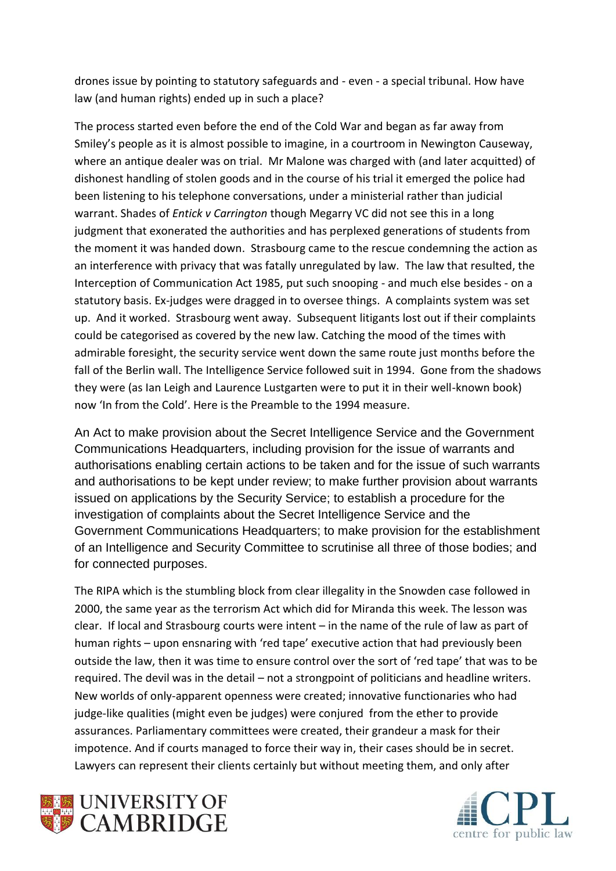drones issue by pointing to statutory safeguards and - even - a special tribunal. How have law (and human rights) ended up in such a place?

The process started even before the end of the Cold War and began as far away from Smiley's people as it is almost possible to imagine, in a courtroom in Newington Causeway, where an antique dealer was on trial. Mr Malone was charged with (and later acquitted) of dishonest handling of stolen goods and in the course of his trial it emerged the police had been listening to his telephone conversations, under a ministerial rather than judicial warrant. Shades of *Entick v Carrington* though Megarry VC did not see this in a long judgment that exonerated the authorities and has perplexed generations of students from the moment it was handed down. Strasbourg came to the rescue condemning the action as an interference with privacy that was fatally unregulated by law. The law that resulted, the Interception of Communication Act 1985, put such snooping - and much else besides - on a statutory basis. Ex-judges were dragged in to oversee things. A complaints system was set up. And it worked. Strasbourg went away. Subsequent litigants lost out if their complaints could be categorised as covered by the new law. Catching the mood of the times with admirable foresight, the security service went down the same route just months before the fall of the Berlin wall. The Intelligence Service followed suit in 1994. Gone from the shadows they were (as Ian Leigh and Laurence Lustgarten were to put it in their well-known book) now 'In from the Cold'. Here is the Preamble to the 1994 measure.

An Act to make provision about the Secret Intelligence Service and the Government Communications Headquarters, including provision for the issue of warrants and authorisations enabling certain actions to be taken and for the issue of such warrants and authorisations to be kept under review; to make further provision about warrants issued on applications by the Security Service; to establish a procedure for the investigation of complaints about the Secret Intelligence Service and the Government Communications Headquarters; to make provision for the establishment of an Intelligence and Security Committee to scrutinise all three of those bodies; and for connected purposes.

The RIPA which is the stumbling block from clear illegality in the Snowden case followed in 2000, the same year as the terrorism Act which did for Miranda this week. The lesson was clear. If local and Strasbourg courts were intent – in the name of the rule of law as part of human rights – upon ensnaring with 'red tape' executive action that had previously been outside the law, then it was time to ensure control over the sort of 'red tape' that was to be required. The devil was in the detail – not a strongpoint of politicians and headline writers. New worlds of only-apparent openness were created; innovative functionaries who had judge-like qualities (might even be judges) were conjured from the ether to provide assurances. Parliamentary committees were created, their grandeur a mask for their impotence. And if courts managed to force their way in, their cases should be in secret. Lawyers can represent their clients certainly but without meeting them, and only after